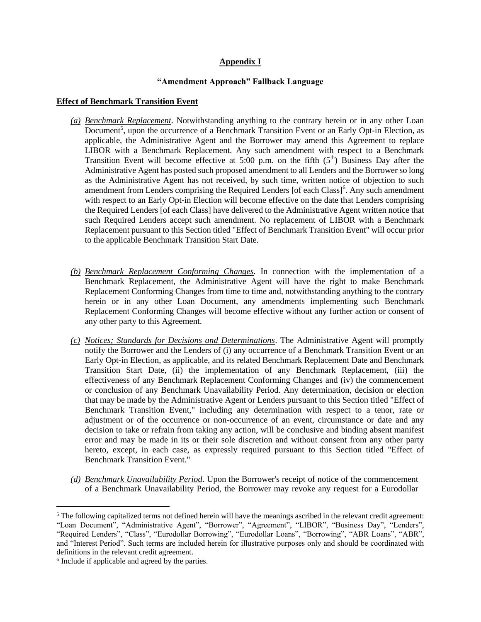# **Appendix I**

#### **"Amendment Approach" Fallback Language**

#### **Effect of Benchmark Transition Event**

- *(a) Benchmark Replacement*. Notwithstanding anything to the contrary herein or in any other Loan Document<sup>5</sup>, upon the occurrence of a Benchmark Transition Event or an Early Opt-in Election, as applicable, the Administrative Agent and the Borrower may amend this Agreement to replace LIBOR with a Benchmark Replacement. Any such amendment with respect to a Benchmark Transition Event will become effective at 5:00 p.m. on the fifth  $(5<sup>th</sup>)$  Business Day after the Administrative Agent has posted such proposed amendment to all Lenders and the Borrower so long as the Administrative Agent has not received, by such time, written notice of objection to such amendment from Lenders comprising the Required Lenders [of each Class]<sup>6</sup>. Any such amendment with respect to an Early Opt-in Election will become effective on the date that Lenders comprising the Required Lenders [of each Class] have delivered to the Administrative Agent written notice that such Required Lenders accept such amendment. No replacement of LIBOR with a Benchmark Replacement pursuant to this Section titled "Effect of Benchmark Transition Event" will occur prior to the applicable Benchmark Transition Start Date.
- *(b) Benchmark Replacement Conforming Changes*. In connection with the implementation of a Benchmark Replacement, the Administrative Agent will have the right to make Benchmark Replacement Conforming Changes from time to time and, notwithstanding anything to the contrary herein or in any other Loan Document, any amendments implementing such Benchmark Replacement Conforming Changes will become effective without any further action or consent of any other party to this Agreement.
- *(c) Notices; Standards for Decisions and Determinations*. The Administrative Agent will promptly notify the Borrower and the Lenders of (i) any occurrence of a Benchmark Transition Event or an Early Opt-in Election, as applicable, and its related Benchmark Replacement Date and Benchmark Transition Start Date, (ii) the implementation of any Benchmark Replacement, (iii) the effectiveness of any Benchmark Replacement Conforming Changes and (iv) the commencement or conclusion of any Benchmark Unavailability Period. Any determination, decision or election that may be made by the Administrative Agent or Lenders pursuant to this Section titled "Effect of Benchmark Transition Event," including any determination with respect to a tenor, rate or adjustment or of the occurrence or non-occurrence of an event, circumstance or date and any decision to take or refrain from taking any action, will be conclusive and binding absent manifest error and may be made in its or their sole discretion and without consent from any other party hereto, except, in each case, as expressly required pursuant to this Section titled "Effect of Benchmark Transition Event."
- *(d) Benchmark Unavailability Period*. Upon the Borrower's receipt of notice of the commencement of a Benchmark Unavailability Period, the Borrower may revoke any request for a Eurodollar

<sup>&</sup>lt;sup>5</sup> The following capitalized terms not defined herein will have the meanings ascribed in the relevant credit agreement: "Loan Document", "Administrative Agent", "Borrower", "Agreement", "LIBOR", "Business Day", "Lenders", "Required Lenders", "Class", "Eurodollar Borrowing", "Eurodollar Loans", "Borrowing", "ABR Loans", "ABR", and "Interest Period". Such terms are included herein for illustrative purposes only and should be coordinated with definitions in the relevant credit agreement.

<sup>6</sup> Include if applicable and agreed by the parties.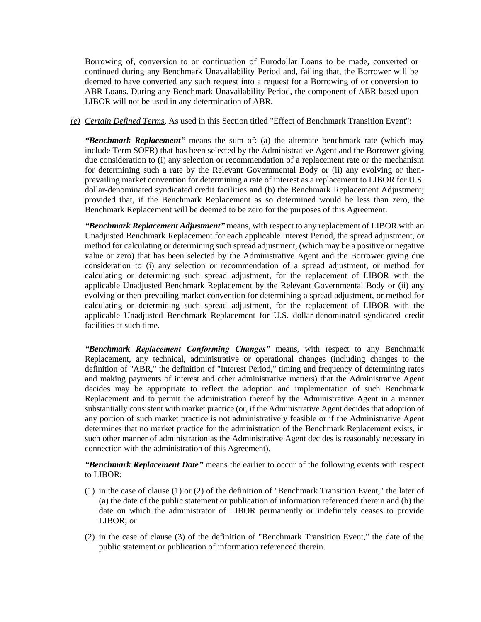Borrowing of, conversion to or continuation of Eurodollar Loans to be made, converted or continued during any Benchmark Unavailability Period and, failing that, the Borrower will be deemed to have converted any such request into a request for a Borrowing of or conversion to ABR Loans. During any Benchmark Unavailability Period, the component of ABR based upon LIBOR will not be used in any determination of ABR.

*(e) Certain Defined Terms*. As used in this Section titled "Effect of Benchmark Transition Event":

*"Benchmark Replacement"* means the sum of: (a) the alternate benchmark rate (which may include Term SOFR) that has been selected by the Administrative Agent and the Borrower giving due consideration to (i) any selection or recommendation of a replacement rate or the mechanism for determining such a rate by the Relevant Governmental Body or (ii) any evolving or thenprevailing market convention for determining a rate of interest as a replacement to LIBOR for U.S. dollar-denominated syndicated credit facilities and (b) the Benchmark Replacement Adjustment; provided that, if the Benchmark Replacement as so determined would be less than zero, the Benchmark Replacement will be deemed to be zero for the purposes of this Agreement.

*"Benchmark Replacement Adjustment"* means, with respect to any replacement of LIBOR with an Unadjusted Benchmark Replacement for each applicable Interest Period, the spread adjustment, or method for calculating or determining such spread adjustment, (which may be a positive or negative value or zero) that has been selected by the Administrative Agent and the Borrower giving due consideration to (i) any selection or recommendation of a spread adjustment, or method for calculating or determining such spread adjustment, for the replacement of LIBOR with the applicable Unadjusted Benchmark Replacement by the Relevant Governmental Body or (ii) any evolving or then-prevailing market convention for determining a spread adjustment, or method for calculating or determining such spread adjustment, for the replacement of LIBOR with the applicable Unadjusted Benchmark Replacement for U.S. dollar-denominated syndicated credit facilities at such time.

*"Benchmark Replacement Conforming Changes"* means, with respect to any Benchmark Replacement, any technical, administrative or operational changes (including changes to the definition of "ABR," the definition of "Interest Period," timing and frequency of determining rates and making payments of interest and other administrative matters) that the Administrative Agent decides may be appropriate to reflect the adoption and implementation of such Benchmark Replacement and to permit the administration thereof by the Administrative Agent in a manner substantially consistent with market practice (or, if the Administrative Agent decides that adoption of any portion of such market practice is not administratively feasible or if the Administrative Agent determines that no market practice for the administration of the Benchmark Replacement exists, in such other manner of administration as the Administrative Agent decides is reasonably necessary in connection with the administration of this Agreement).

*"Benchmark Replacement Date"* means the earlier to occur of the following events with respect to LIBOR:

- (1) in the case of clause (1) or (2) of the definition of "Benchmark Transition Event," the later of (a) the date of the public statement or publication of information referenced therein and (b) the date on which the administrator of LIBOR permanently or indefinitely ceases to provide LIBOR; or
- (2) in the case of clause (3) of the definition of "Benchmark Transition Event," the date of the public statement or publication of information referenced therein.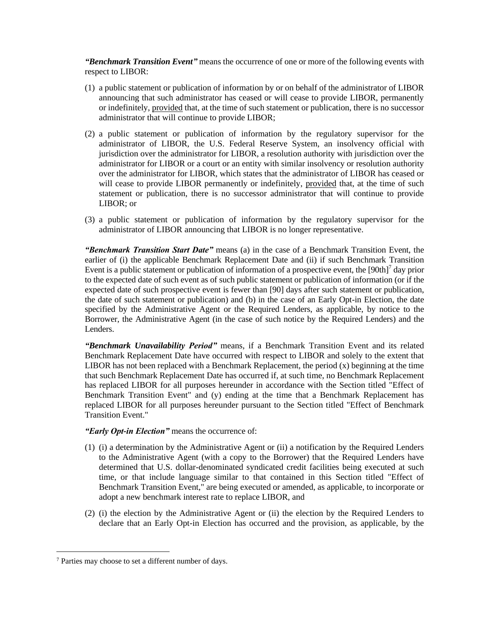*"Benchmark Transition Event"* means the occurrence of one or more of the following events with respect to LIBOR:

- (1) a public statement or publication of information by or on behalf of the administrator of LIBOR announcing that such administrator has ceased or will cease to provide LIBOR, permanently or indefinitely, provided that, at the time of such statement or publication, there is no successor administrator that will continue to provide LIBOR;
- (2) a public statement or publication of information by the regulatory supervisor for the administrator of LIBOR, the U.S. Federal Reserve System, an insolvency official with jurisdiction over the administrator for LIBOR, a resolution authority with jurisdiction over the administrator for LIBOR or a court or an entity with similar insolvency or resolution authority over the administrator for LIBOR, which states that the administrator of LIBOR has ceased or will cease to provide LIBOR permanently or indefinitely, provided that, at the time of such statement or publication, there is no successor administrator that will continue to provide LIBOR; or
- (3) a public statement or publication of information by the regulatory supervisor for the administrator of LIBOR announcing that LIBOR is no longer representative.

*"Benchmark Transition Start Date"* means (a) in the case of a Benchmark Transition Event, the earlier of (i) the applicable Benchmark Replacement Date and (ii) if such Benchmark Transition Event is a public statement or publication of information of a prospective event, the  $[90th]^7$  day prior to the expected date of such event as of such public statement or publication of information (or if the expected date of such prospective event is fewer than [90] days after such statement or publication, the date of such statement or publication) and (b) in the case of an Early Opt-in Election, the date specified by the Administrative Agent or the Required Lenders, as applicable, by notice to the Borrower, the Administrative Agent (in the case of such notice by the Required Lenders) and the Lenders.

*"Benchmark Unavailability Period"* means, if a Benchmark Transition Event and its related Benchmark Replacement Date have occurred with respect to LIBOR and solely to the extent that LIBOR has not been replaced with a Benchmark Replacement, the period  $(x)$  beginning at the time that such Benchmark Replacement Date has occurred if, at such time, no Benchmark Replacement has replaced LIBOR for all purposes hereunder in accordance with the Section titled "Effect of Benchmark Transition Event" and (y) ending at the time that a Benchmark Replacement has replaced LIBOR for all purposes hereunder pursuant to the Section titled "Effect of Benchmark Transition Event."

*"Early Opt-in Election"* means the occurrence of:

- (1) (i) a determination by the Administrative Agent or (ii) a notification by the Required Lenders to the Administrative Agent (with a copy to the Borrower) that the Required Lenders have determined that U.S. dollar-denominated syndicated credit facilities being executed at such time, or that include language similar to that contained in this Section titled "Effect of Benchmark Transition Event," are being executed or amended, as applicable, to incorporate or adopt a new benchmark interest rate to replace LIBOR, and
- (2) (i) the election by the Administrative Agent or (ii) the election by the Required Lenders to declare that an Early Opt-in Election has occurred and the provision, as applicable, by the

<sup>7</sup> Parties may choose to set a different number of days.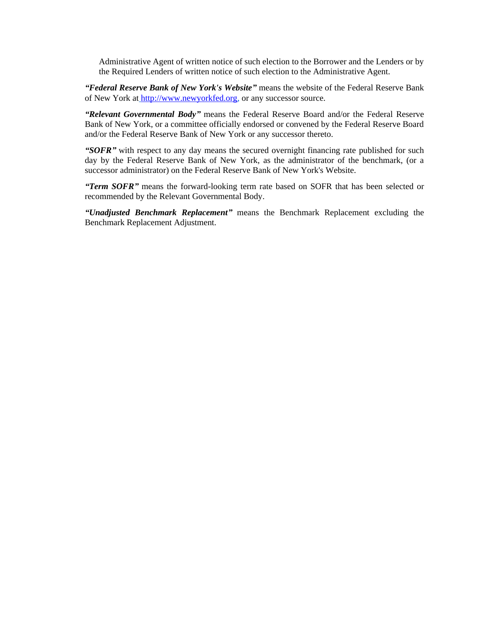Administrative Agent of written notice of such election to the Borrower and the Lenders or by the Required Lenders of written notice of such election to the Administrative Agent.

*"Federal Reserve Bank of New York's Website"* means the website of the Federal Reserve Bank of New York at [http://www.newyorkfed.org,](http://www.newyorkfed.org/) or any successor source.

*"Relevant Governmental Body"* means the Federal Reserve Board and/or the Federal Reserve Bank of New York, or a committee officially endorsed or convened by the Federal Reserve Board and/or the Federal Reserve Bank of New York or any successor thereto.

*"SOFR"* with respect to any day means the secured overnight financing rate published for such day by the Federal Reserve Bank of New York, as the administrator of the benchmark, (or a successor administrator) on the Federal Reserve Bank of New York's Website.

*"Term SOFR"* means the forward-looking term rate based on SOFR that has been selected or recommended by the Relevant Governmental Body.

*"Unadjusted Benchmark Replacement"* means the Benchmark Replacement excluding the Benchmark Replacement Adjustment.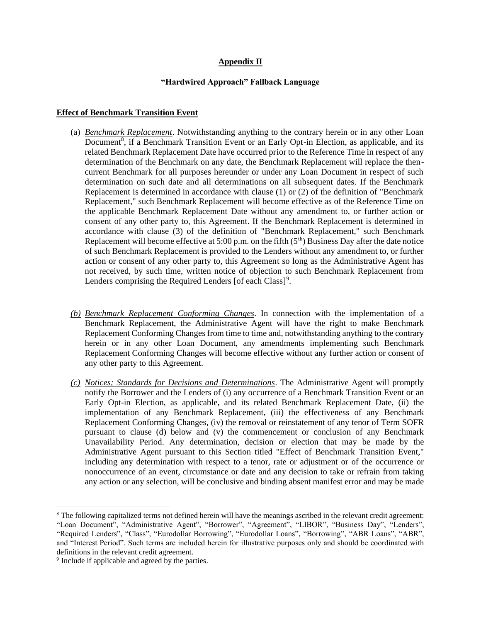### **Appendix II**

### **"Hardwired Approach" Fallback Language**

# **Effect of Benchmark Transition Event**

- (a) *Benchmark Replacement*. Notwithstanding anything to the contrary herein or in any other Loan Document<sup>8</sup>, if a Benchmark Transition Event or an Early Opt-in Election, as applicable, and its related Benchmark Replacement Date have occurred prior to the Reference Time in respect of any determination of the Benchmark on any date, the Benchmark Replacement will replace the thencurrent Benchmark for all purposes hereunder or under any Loan Document in respect of such determination on such date and all determinations on all subsequent dates. If the Benchmark Replacement is determined in accordance with clause (1) or (2) of the definition of "Benchmark Replacement," such Benchmark Replacement will become effective as of the Reference Time on the applicable Benchmark Replacement Date without any amendment to, or further action or consent of any other party to, this Agreement. If the Benchmark Replacement is determined in accordance with clause (3) of the definition of "Benchmark Replacement," such Benchmark Replacement will become effective at 5:00 p.m. on the fifth  $(5<sup>th</sup>)$  Business Day after the date notice of such Benchmark Replacement is provided to the Lenders without any amendment to, or further action or consent of any other party to, this Agreement so long as the Administrative Agent has not received, by such time, written notice of objection to such Benchmark Replacement from Lenders comprising the Required Lenders [of each Class]<sup>9</sup>.
- *(b) Benchmark Replacement Conforming Changes*. In connection with the implementation of a Benchmark Replacement, the Administrative Agent will have the right to make Benchmark Replacement Conforming Changes from time to time and, notwithstanding anything to the contrary herein or in any other Loan Document, any amendments implementing such Benchmark Replacement Conforming Changes will become effective without any further action or consent of any other party to this Agreement.
- *(c) Notices; Standards for Decisions and Determinations*. The Administrative Agent will promptly notify the Borrower and the Lenders of (i) any occurrence of a Benchmark Transition Event or an Early Opt-in Election, as applicable, and its related Benchmark Replacement Date, (ii) the implementation of any Benchmark Replacement, (iii) the effectiveness of any Benchmark Replacement Conforming Changes, (iv) the removal or reinstatement of any tenor of Term SOFR pursuant to clause (d) below and (v) the commencement or conclusion of any Benchmark Unavailability Period. Any determination, decision or election that may be made by the Administrative Agent pursuant to this Section titled "Effect of Benchmark Transition Event," including any determination with respect to a tenor, rate or adjustment or of the occurrence or nonoccurrence of an event, circumstance or date and any decision to take or refrain from taking any action or any selection, will be conclusive and binding absent manifest error and may be made

<sup>8</sup> The following capitalized terms not defined herein will have the meanings ascribed in the relevant credit agreement: "Loan Document", "Administrative Agent", "Borrower", "Agreement", "LIBOR", "Business Day", "Lenders", "Required Lenders", "Class", "Eurodollar Borrowing", "Eurodollar Loans", "Borrowing", "ABR Loans", "ABR", and "Interest Period". Such terms are included herein for illustrative purposes only and should be coordinated with definitions in the relevant credit agreement.

<sup>&</sup>lt;sup>9</sup> Include if applicable and agreed by the parties.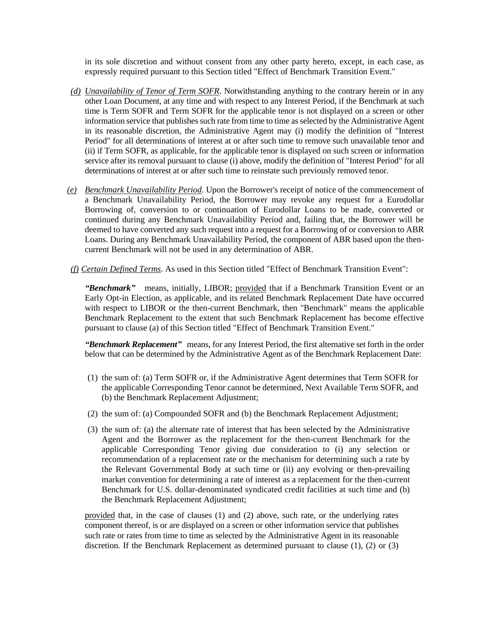in its sole discretion and without consent from any other party hereto, except, in each case, as expressly required pursuant to this Section titled "Effect of Benchmark Transition Event."

- *(d) Unavailability of Tenor of Term SOFR*. Notwithstanding anything to the contrary herein or in any other Loan Document, at any time and with respect to any Interest Period, if the Benchmark at such time is Term SOFR and Term SOFR for the applicable tenor is not displayed on a screen or other information service that publishes such rate from time to time as selected by the Administrative Agent in its reasonable discretion, the Administrative Agent may (i) modify the definition of "Interest Period" for all determinations of interest at or after such time to remove such unavailable tenor and (ii) if Term SOFR, as applicable, for the applicable tenor is displayed on such screen or information service after its removal pursuant to clause (i) above, modify the definition of "Interest Period" for all determinations of interest at or after such time to reinstate such previously removed tenor.
- *(e) Benchmark Unavailability Period*. Upon the Borrower's receipt of notice of the commencement of a Benchmark Unavailability Period, the Borrower may revoke any request for a Eurodollar Borrowing of, conversion to or continuation of Eurodollar Loans to be made, converted or continued during any Benchmark Unavailability Period and, failing that, the Borrower will be deemed to have converted any such request into a request for a Borrowing of or conversion to ABR Loans. During any Benchmark Unavailability Period, the component of ABR based upon the thencurrent Benchmark will not be used in any determination of ABR.
- *(f) Certain Defined Terms*. As used in this Section titled "Effect of Benchmark Transition Event":

*"Benchmark"* means, initially, LIBOR; provided that if a Benchmark Transition Event or an Early Opt-in Election, as applicable, and its related Benchmark Replacement Date have occurred with respect to LIBOR or the then-current Benchmark, then "Benchmark" means the applicable Benchmark Replacement to the extent that such Benchmark Replacement has become effective pursuant to clause (a) of this Section titled "Effect of Benchmark Transition Event."

*"Benchmark Replacement"* means, for any Interest Period, the first alternative set forth in the order below that can be determined by the Administrative Agent as of the Benchmark Replacement Date:

- (1) the sum of: (a) Term SOFR or, if the Administrative Agent determines that Term SOFR for the applicable Corresponding Tenor cannot be determined, Next Available Term SOFR, and (b) the Benchmark Replacement Adjustment;
- (2) the sum of: (a) Compounded SOFR and (b) the Benchmark Replacement Adjustment;
- (3) the sum of: (a) the alternate rate of interest that has been selected by the Administrative Agent and the Borrower as the replacement for the then-current Benchmark for the applicable Corresponding Tenor giving due consideration to (i) any selection or recommendation of a replacement rate or the mechanism for determining such a rate by the Relevant Governmental Body at such time or (ii) any evolving or then-prevailing market convention for determining a rate of interest as a replacement for the then-current Benchmark for U.S. dollar-denominated syndicated credit facilities at such time and (b) the Benchmark Replacement Adjustment;

provided that, in the case of clauses (1) and (2) above, such rate, or the underlying rates component thereof, is or are displayed on a screen or other information service that publishes such rate or rates from time to time as selected by the Administrative Agent in its reasonable discretion. If the Benchmark Replacement as determined pursuant to clause (1), (2) or (3)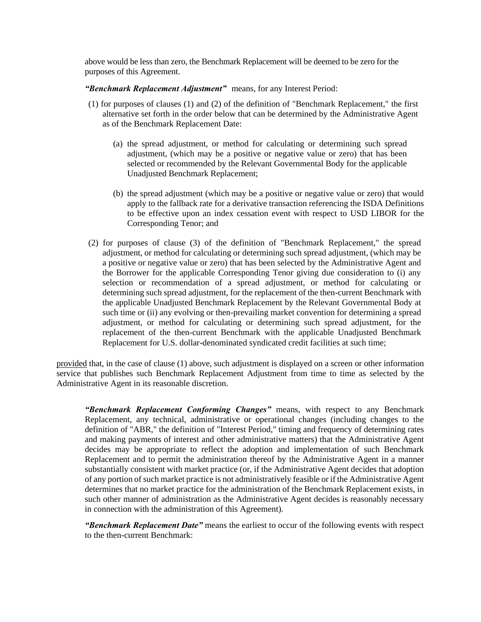above would be less than zero, the Benchmark Replacement will be deemed to be zero for the purposes of this Agreement.

*"Benchmark Replacement Adjustment"* means, for any Interest Period:

- (1) for purposes of clauses (1) and (2) of the definition of "Benchmark Replacement," the first alternative set forth in the order below that can be determined by the Administrative Agent as of the Benchmark Replacement Date:
	- (a) the spread adjustment, or method for calculating or determining such spread adjustment, (which may be a positive or negative value or zero) that has been selected or recommended by the Relevant Governmental Body for the applicable Unadjusted Benchmark Replacement;
	- (b) the spread adjustment (which may be a positive or negative value or zero) that would apply to the fallback rate for a derivative transaction referencing the ISDA Definitions to be effective upon an index cessation event with respect to USD LIBOR for the Corresponding Tenor; and
- (2) for purposes of clause (3) of the definition of "Benchmark Replacement," the spread adjustment, or method for calculating or determining such spread adjustment, (which may be a positive or negative value or zero) that has been selected by the Administrative Agent and the Borrower for the applicable Corresponding Tenor giving due consideration to (i) any selection or recommendation of a spread adjustment, or method for calculating or determining such spread adjustment, for the replacement of the then-current Benchmark with the applicable Unadjusted Benchmark Replacement by the Relevant Governmental Body at such time or (ii) any evolving or then-prevailing market convention for determining a spread adjustment, or method for calculating or determining such spread adjustment, for the replacement of the then-current Benchmark with the applicable Unadjusted Benchmark Replacement for U.S. dollar-denominated syndicated credit facilities at such time;

provided that, in the case of clause (1) above, such adjustment is displayed on a screen or other information service that publishes such Benchmark Replacement Adjustment from time to time as selected by the Administrative Agent in its reasonable discretion.

*"Benchmark Replacement Conforming Changes"* means, with respect to any Benchmark Replacement, any technical, administrative or operational changes (including changes to the definition of "ABR," the definition of "Interest Period," timing and frequency of determining rates and making payments of interest and other administrative matters) that the Administrative Agent decides may be appropriate to reflect the adoption and implementation of such Benchmark Replacement and to permit the administration thereof by the Administrative Agent in a manner substantially consistent with market practice (or, if the Administrative Agent decides that adoption of any portion of such market practice is not administratively feasible or if the Administrative Agent determines that no market practice for the administration of the Benchmark Replacement exists, in such other manner of administration as the Administrative Agent decides is reasonably necessary in connection with the administration of this Agreement).

*"Benchmark Replacement Date"* means the earliest to occur of the following events with respect to the then-current Benchmark: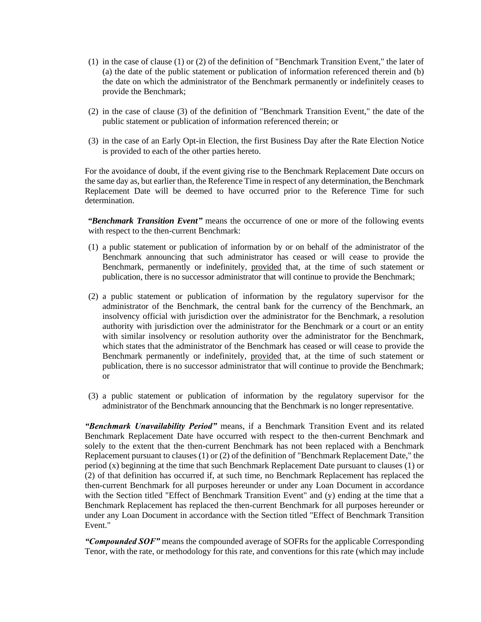- (1) in the case of clause (1) or (2) of the definition of "Benchmark Transition Event," the later of (a) the date of the public statement or publication of information referenced therein and (b) the date on which the administrator of the Benchmark permanently or indefinitely ceases to provide the Benchmark;
- (2) in the case of clause (3) of the definition of "Benchmark Transition Event," the date of the public statement or publication of information referenced therein; or
- (3) in the case of an Early Opt-in Election, the first Business Day after the Rate Election Notice is provided to each of the other parties hereto.

For the avoidance of doubt, if the event giving rise to the Benchmark Replacement Date occurs on the same day as, but earlier than, the Reference Time in respect of any determination, the Benchmark Replacement Date will be deemed to have occurred prior to the Reference Time for such determination.

*"Benchmark Transition Event"* means the occurrence of one or more of the following events with respect to the then-current Benchmark:

- (1) a public statement or publication of information by or on behalf of the administrator of the Benchmark announcing that such administrator has ceased or will cease to provide the Benchmark, permanently or indefinitely, provided that, at the time of such statement or publication, there is no successor administrator that will continue to provide the Benchmark;
- (2) a public statement or publication of information by the regulatory supervisor for the administrator of the Benchmark, the central bank for the currency of the Benchmark, an insolvency official with jurisdiction over the administrator for the Benchmark, a resolution authority with jurisdiction over the administrator for the Benchmark or a court or an entity with similar insolvency or resolution authority over the administrator for the Benchmark, which states that the administrator of the Benchmark has ceased or will cease to provide the Benchmark permanently or indefinitely, provided that, at the time of such statement or publication, there is no successor administrator that will continue to provide the Benchmark; or
- (3) a public statement or publication of information by the regulatory supervisor for the administrator of the Benchmark announcing that the Benchmark is no longer representative.

*"Benchmark Unavailability Period"* means, if a Benchmark Transition Event and its related Benchmark Replacement Date have occurred with respect to the then-current Benchmark and solely to the extent that the then-current Benchmark has not been replaced with a Benchmark Replacement pursuant to clauses (1) or (2) of the definition of "Benchmark Replacement Date," the period (x) beginning at the time that such Benchmark Replacement Date pursuant to clauses (1) or (2) of that definition has occurred if, at such time, no Benchmark Replacement has replaced the then-current Benchmark for all purposes hereunder or under any Loan Document in accordance with the Section titled "Effect of Benchmark Transition Event" and (y) ending at the time that a Benchmark Replacement has replaced the then-current Benchmark for all purposes hereunder or under any Loan Document in accordance with the Section titled "Effect of Benchmark Transition Event."

*"Compounded SOF"* means the compounded average of SOFRs for the applicable Corresponding Tenor, with the rate, or methodology for this rate, and conventions for this rate (which may include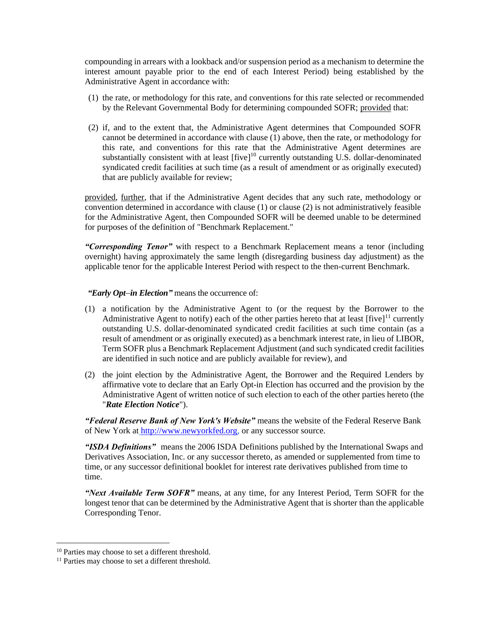compounding in arrears with a lookback and/or suspension period as a mechanism to determine the interest amount payable prior to the end of each Interest Period) being established by the Administrative Agent in accordance with:

- (1) the rate, or methodology for this rate, and conventions for this rate selected or recommended by the Relevant Governmental Body for determining compounded SOFR; provided that:
- (2) if, and to the extent that, the Administrative Agent determines that Compounded SOFR cannot be determined in accordance with clause (1) above, then the rate, or methodology for this rate, and conventions for this rate that the Administrative Agent determines are substantially consistent with at least  $[five]^10$  currently outstanding U.S. dollar-denominated syndicated credit facilities at such time (as a result of amendment or as originally executed) that are publicly available for review;

provided, further, that if the Administrative Agent decides that any such rate, methodology or convention determined in accordance with clause (1) or clause (2) is not administratively feasible for the Administrative Agent, then Compounded SOFR will be deemed unable to be determined for purposes of the definition of "Benchmark Replacement."

*"Corresponding Tenor"* with respect to a Benchmark Replacement means a tenor (including overnight) having approximately the same length (disregarding business day adjustment) as the applicable tenor for the applicable Interest Period with respect to the then-current Benchmark.

*"Early Opt*−*in Election"* means the occurrence of:

- (1) a notification by the Administrative Agent to (or the request by the Borrower to the Administrative Agent to notify) each of the other parties hereto that at least  $[\text{five}]^{11}$  currently outstanding U.S. dollar-denominated syndicated credit facilities at such time contain (as a result of amendment or as originally executed) as a benchmark interest rate, in lieu of LIBOR, Term SOFR plus a Benchmark Replacement Adjustment (and such syndicated credit facilities are identified in such notice and are publicly available for review), and
- (2) the joint election by the Administrative Agent, the Borrower and the Required Lenders by affirmative vote to declare that an Early Opt-in Election has occurred and the provision by the Administrative Agent of written notice of such election to each of the other parties hereto (the "*Rate Election Notice*").

*"Federal Reserve Bank of New York's Website"* means the website of the Federal Reserve Bank of New York at [http://www.newyorkfed.org,](http://www.newyorkfed.org/) or any successor source.

*"ISDA Definitions"* means the 2006 ISDA Definitions published by the International Swaps and Derivatives Association, Inc. or any successor thereto, as amended or supplemented from time to time, or any successor definitional booklet for interest rate derivatives published from time to time.

*"Next Available Term SOFR"* means, at any time, for any Interest Period, Term SOFR for the longest tenor that can be determined by the Administrative Agent that is shorter than the applicable Corresponding Tenor.

<sup>&</sup>lt;sup>10</sup> Parties may choose to set a different threshold.

<sup>&</sup>lt;sup>11</sup> Parties may choose to set a different threshold.